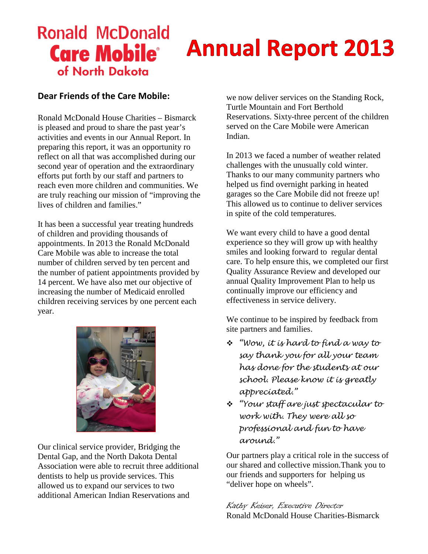# **Ronald McDonald Care Mobile®** of North Dakota

# **Annual Report 2013**

### **Dear Friends of the Care Mobile:**

Ronald McDonald House Charities – Bismarck is pleased and proud to share the past year's activities and events in our Annual Report. In preparing this report, it was an opportunity ro reflect on all that was accomplished during our second year of operation and the extraordinary efforts put forth by our staff and partners to reach even more children and communities. We are truly reaching our mission of "improving the lives of children and families."

It has been a successful year treating hundreds of children and providing thousands of appointments. In 2013 the Ronald McDonald Care Mobile was able to increase the total number of children served by ten percent and the number of patient appointments provided by 14 percent. We have also met our objective of increasing the number of Medicaid enrolled children receiving services by one percent each year.



Our clinical service provider, Bridging the Dental Gap, and the North Dakota Dental Association were able to recruit three additional dentists to help us provide services. This allowed us to expand our services to two additional American Indian Reservations and

we now deliver services on the Standing Rock, Turtle Mountain and Fort Berthold Reservations. Sixty-three percent of the children served on the Care Mobile were American Indian.

In 2013 we faced a number of weather related challenges with the unusually cold winter. Thanks to our many community partners who helped us find overnight parking in heated garages so the Care Mobile did not freeze up! This allowed us to continue to deliver services in spite of the cold temperatures.

We want every child to have a good dental experience so they will grow up with healthy smiles and looking forward to regular dental care. To help ensure this, we completed our first Quality Assurance Review and developed our annual Quality Improvement Plan to help us continually improve our efficiency and effectiveness in service delivery.

We continue to be inspired by feedback from site partners and families.

- *"Wow, it is hard to find a way to say thank you for all your team has done for the students at our school. Please know it is greatly appreciated."*
- *"Your staff are just spectacular to work with. They were all so professional and fun to have around."*

Our partners play a critical role in the success of our shared and collective mission.Thank you to our friends and supporters for helping us "deliver hope on wheels".

Kathy Keiser, Executive Director Ronald McDonald House Charities-Bismarck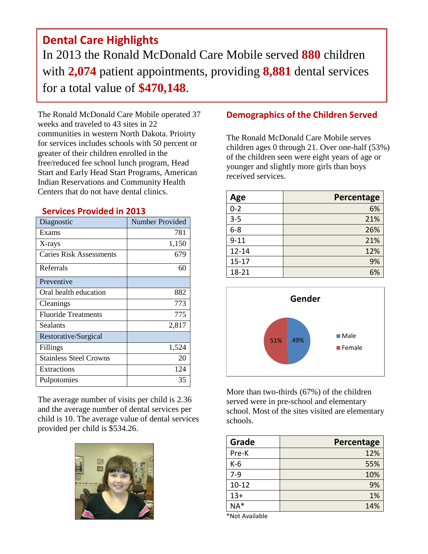# **Dental Care Highlights** In 2013 the Ronald McDonald Care Mobile served **880** children with **2,074** patient appointments, providing **8,881** dental services for a total value of **\$470,148**.

The Ronald McDonald Care Mobile operated 37 weeks and traveled to 43 sites in 22 communities in western North Dakota. Prioirty for services includes schools with 50 percent or greater of their children enrolled in the free/reduced fee school lunch program, Head Start and Early Head Start Programs, American Indian Reservations and Community Health Centers that do not have dental clinics.

| Diagnostic                     | Number Provided |
|--------------------------------|-----------------|
| Exams                          | 781             |
| X-rays                         | 1,150           |
| <b>Caries Risk Assessments</b> | 679             |
| Referrals                      | 60              |
| Preventive                     |                 |
| Oral health education          | 882             |
| Cleanings                      | 773             |
| <b>Fluoride Treatments</b>     | 775             |
| Sealants                       | 2,817           |
| Restorative/Surgical           |                 |
| Fillings                       | 1,524           |
| <b>Stainless Steel Crowns</b>  | 20              |
| Extractions                    | 124             |
| Pulpotomies                    | 35              |

#### **Services Provided in 2013**

The average number of visits per child is 2.36 and the average number of dental services per child is 10. The average value of dental services provided per child is \$534.26.



#### **Demographics of the Children Served**

The Ronald McDonald Care Mobile serves children ages 0 through 21. Over one-half (53%) of the children seen were eight years of age or younger and slightly more girls than boys received services.

| Age       | Percentage |
|-----------|------------|
| $0 - 2$   | 6%         |
| $3 - 5$   | 21%        |
| $6 - 8$   | 26%        |
| $9 - 11$  | 21%        |
| $12 - 14$ | 12%        |
| $15 - 17$ | 9%         |
| 18-21     | 6%         |



More than two-thirds (67%) of the children served were in pre-school and elementary school. Most of the sites visited are elementary schools.

| Grade     | Percentage |
|-----------|------------|
| Pre-K     | 12%        |
| K-6       | 55%        |
| $7-9$     | 10%        |
| $10 - 12$ | 9%         |
| $13+$     | 1%         |
| $NA*$     | 14%        |

\*Not Available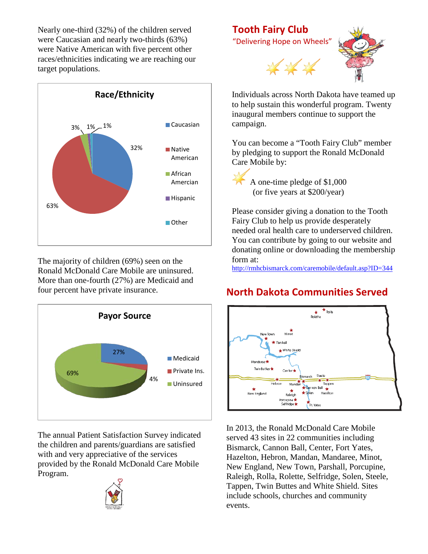Nearly one-third (32%) of the children served were Caucasian and nearly two-thirds (63%) were Native American with five percent other races/ethnicities indicating we are reaching our target populations.



The majority of children (69%) seen on the Ronald McDonald Care Mobile are uninsured. More than one-fourth (27%) are Medicaid and four percent have private insurance.



The annual Patient Satisfaction Survey indicated the children and parents/guardians are satisfied with and very appreciative of the services provided by the Ronald McDonald Care Mobile Program.





Individuals across North Dakota have teamed up to help sustain this wonderful program. Twenty inaugural members continue to support the campaign.

You can become a "Tooth Fairy Club" member by pledging to support the Ronald McDonald Care Mobile by:



A one-time pledge of \$1,000 (or five years at \$200/year)

Please consider giving a donation to the Tooth Fairy Club to help us provide desperately needed oral health care to underserved children. You can contribute by going to our website and donating online or downloading the membership form at:

<http://rmhcbismarck.com/caremobile/default.asp?ID=344>

# **North Dakota Communities Served**



In 2013, the Ronald McDonald Care Mobile served 43 sites in 22 communities including Bismarck, Cannon Ball, Center, Fort Yates, Hazelton, Hebron, Mandan, Mandaree, Minot, New England, New Town, Parshall, Porcupine, Raleigh, Rolla, Rolette, Selfridge, Solen, Steele, Tappen, Twin Buttes and White Shield. Sites include schools, churches and community events.